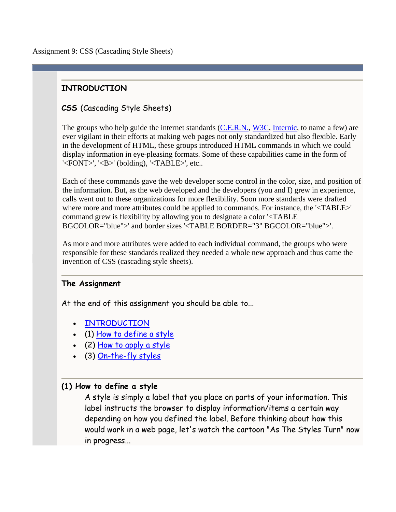Assignment 9: CSS (Cascading Style Sheets)

# **INTRODUCTION**

# **CSS** (Cascading Style Sheets)

The groups who help guide the internet standards (C.E.R.N., W3C, Internic, to name a few) are ever vigilant in their efforts at making web pages not only standardized but also flexible. Early in the development of HTML, these groups introduced HTML commands in which we could display information in eye-pleasing formats. Some of these capabilities came in the form of '<FONT>', '<B>' (bolding), '<TABLE>', etc..

Each of these commands gave the web developer some control in the color, size, and position of the information. But, as the web developed and the developers (you and I) grew in experience, calls went out to these organizations for more flexibility. Soon more standards were drafted where more and more attributes could be applied to commands. For instance, the '<TABLE>' command grew is flexibility by allowing you to designate a color '<TABLE BGCOLOR="blue">' and border sizes '<TABLE BORDER="3" BGCOLOR="blue">'.

As more and more attributes were added to each individual command, the groups who were responsible for these standards realized they needed a whole new approach and thus came the invention of CSS (cascading style sheets).

## **The Assignment**

At the end of this assignment you should be able to...

- INTRODUCTION
- (1) How to define a style
- (2) How to apply a style
- (3) On-the-fly styles

## **(1) How to define a style**

A style is simply a label that you place on parts of your information. This label instructs the browser to display information/items a certain way depending on how you defined the label. Before thinking about how this would work in a web page, let's watch the cartoon "As The Styles Turn" now in progress...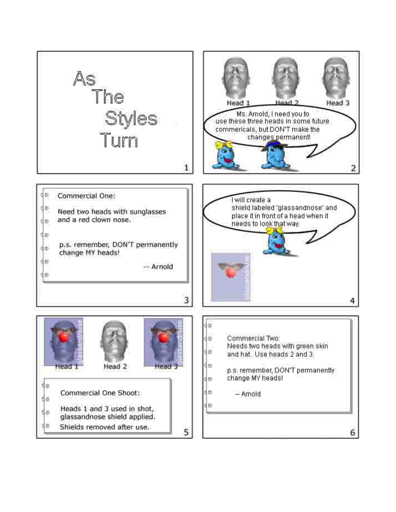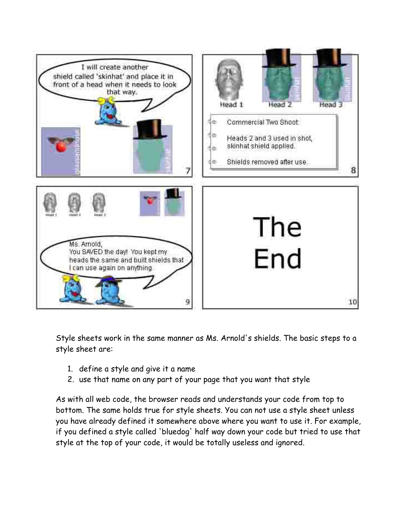

Style sheets work in the same manner as Ms. Arnold's shields. The basic steps to a style sheet are:

- 1. define a style and give it a name
- 2. use that name on any part of your page that you want that style

As with all web code, the browser reads and understands your code from top to bottom. The same holds true for style sheets. You can not use a style sheet unless you have already defined it somewhere above where you want to use it. For example, if you defined a style called 'bluedog' half way down your code but tried to use that style at the top of your code, it would be totally useless and ignored.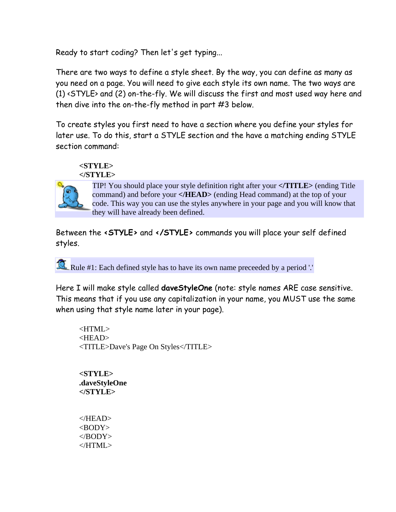Ready to start coding? Then let's get typing...

There are two ways to define a style sheet. By the way, you can define as many as you need on a page. You will need to give each style its own name. The two ways are (1) <STYLE> and (2) on-the-fly. We will discuss the first and most used way here and then dive into the on-the-fly method in part #3 below.

To create styles you first need to have a section where you define your styles for later use. To do this, start a STYLE section and the have a matching ending STYLE section command:

### **<STYLE> </STYLE>**



TIP! You should place your style definition right after your **</TITLE>** (ending Title command) and before your **</HEAD>** (ending Head command) at the top of your code. This way you can use the styles anywhere in your page and you will know that they will have already been defined.

Between the **<STYLE>** and **</STYLE>** commands you will place your self defined styles.

Rule #1: Each defined style has to have its own name preceeded by a period '.'

Here I will make style called **daveStyleOne** (note: style names ARE case sensitive. This means that if you use any capitalization in your name, you MUST use the same when using that style name later in your page).

 $\leq$ HTML $>$ <HEAD> <TITLE>Dave's Page On Styles</TITLE>

**<STYLE> .daveStyleOne </STYLE>** 

</HEAD>  $<$ BODY $>$ </BODY> </HTML>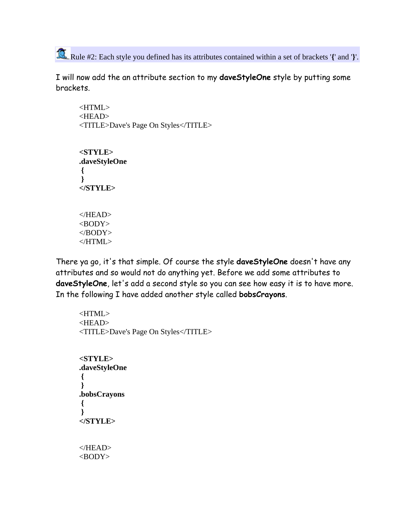Rule #2: Each style you defined has its attributes contained within a set of brackets '**{**' and '**}**'.

I will now add the an attribute section to my **daveStyleOne** style by putting some brackets.

<HTML> <HEAD> <TITLE>Dave's Page On Styles</TITLE> **<STYLE> .daveStyleOne { } </STYLE>**   $<$ /HEAD $>$  $<$ BODY $>$ 

There ya go, it's that simple. Of course the style **daveStyleOne** doesn't have any attributes and so would not do anything yet. Before we add some attributes to **daveStyleOne**, let's add a second style so you can see how easy it is to have more. In the following I have added another style called **bobsCrayons**.

<HTML> <HEAD> <TITLE>Dave's Page On Styles</TITLE>

**<STYLE> .daveStyleOne { } .bobsCrayons { } </STYLE>**  </HEAD>  $<$ BODY $>$ 

</BODY>  $<$  /HTML>  $\,$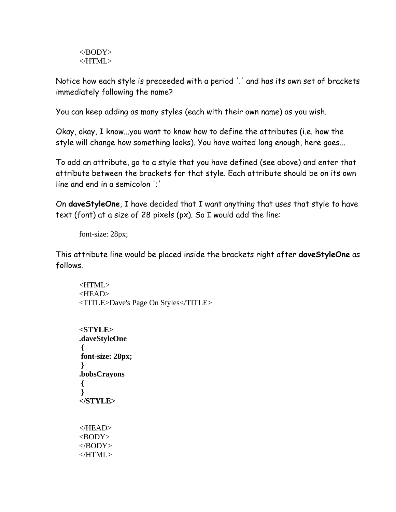</BODY> </HTML>

Notice how each style is preceeded with a period '.' and has its own set of brackets immediately following the name?

You can keep adding as many styles (each with their own name) as you wish.

Okay, okay, I know...you want to know how to define the attributes (i.e. how the style will change how something looks). You have waited long enough, here goes...

To add an attribute, go to a style that you have defined (see above) and enter that attribute between the brackets for that style. Each attribute should be on its own line and end in a semicolon ';'

On **daveStyleOne**, I have decided that I want anything that uses that style to have text (font) at a size of 28 pixels (px). So I would add the line:

font-size: 28px;

This attribute line would be placed inside the brackets right after **daveStyleOne** as follows.

<HTML> <HEAD> <TITLE>Dave's Page On Styles</TITLE>

**<STYLE> .daveStyleOne { font-size: 28px; } .bobsCrayons { } </STYLE>**  </HEAD>  $<$ BODY $>$ </BODY>  $<$ /HTML $>$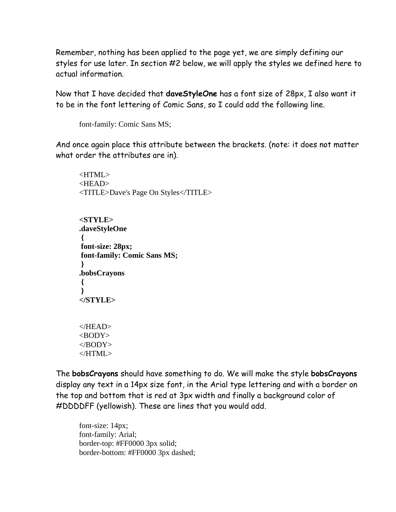Remember, nothing has been applied to the page yet, we are simply defining our styles for use later. In section #2 below, we will apply the styles we defined here to actual information.

Now that I have decided that **daveStyleOne** has a font size of 28px, I also want it to be in the font lettering of Comic Sans, so I could add the following line.

font-family: Comic Sans MS;

And once again place this attribute between the brackets. (note: it does not matter what order the attributes are in).

<HTML> <HEAD> <TITLE>Dave's Page On Styles</TITLE>

**<STYLE> .daveStyleOne { font-size: 28px; font-family: Comic Sans MS; } .bobsCrayons { } </STYLE>** 

 $<$ /HEAD $>$  $<$ BODY $>$ </BODY>  $<$ /HTML $>$ 

The **bobsCrayons** should have something to do. We will make the style **bobsCrayons** display any text in a 14px size font, in the Arial type lettering and with a border on the top and bottom that is red at 3px width and finally a background color of #DDDDFF (yellowish). These are lines that you would add.

font-size: 14px; font-family: Arial; border-top: #FF0000 3px solid; border-bottom: #FF0000 3px dashed;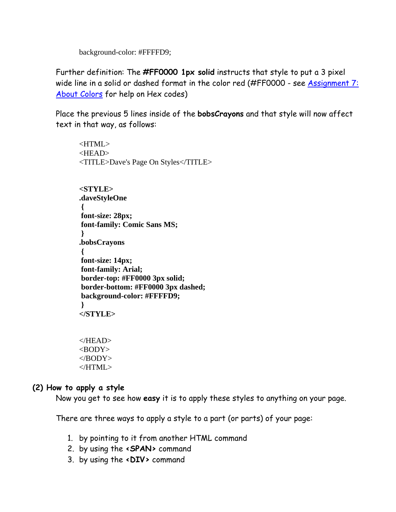background-color: #FFFFD9;

Further definition: The **#FF0000 1px solid** instructs that style to put a 3 pixel wide line in a solid or dashed format in the color red (#FF0000 - see Assignment 7: About Colors for help on Hex codes)

Place the previous 5 lines inside of the **bobsCrayons** and that style will now affect text in that way, as follows:

<HTML> <HEAD> <TITLE>Dave's Page On Styles</TITLE> **<STYLE> .daveStyleOne { font-size: 28px; font-family: Comic Sans MS; } .bobsCrayons { font-size: 14px; font-family: Arial; border-top: #FF0000 3px solid; border-bottom: #FF0000 3px dashed; background-color: #FFFFD9; } </STYLE>** 

</HEAD>  $<$ BODY $>$ </BODY>  $<$ /HTML $>$ 

## **(2) How to apply a style**

Now you get to see how **easy** it is to apply these styles to anything on your page.

There are three ways to apply a style to a part (or parts) of your page:

- 1. by pointing to it from another HTML command
- 2. by using the **<SPAN>** command
- 3. by using the **<DIV>** command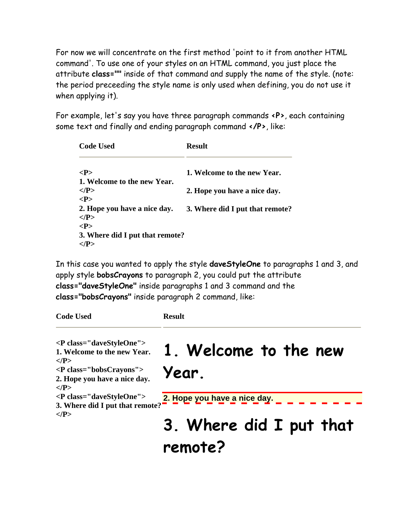For now we will concentrate on the first method 'point to it from another HTML command'. To use one of your styles on an HTML command, you just place the attribute **class=""** inside of that command and supply the name of the style. (note: the period preceeding the style name is only used when defining, you do not use it when applying it).

For example, let's say you have three paragraph commands **<P>**, each containing some text and finally and ending paragraph command **</P>**, like:

| <b>Result</b>                   |
|---------------------------------|
| 1. Welcome to the new Year.     |
| 2. Hope you have a nice day.    |
| 3. Where did I put that remote? |
| 3. Where did I put that remote? |
|                                 |

In this case you wanted to apply the style **daveStyleOne** to paragraphs 1 and 3, and apply style **bobsCrayons** to paragraph 2, you could put the attribute **class="daveStyleOne"** inside paragraphs 1 and 3 command and the **class="bobsCrayons"** inside paragraph 2 command, like:

| <b>Code Used</b>                                                                                                                                                                      | <b>Result</b>                      |
|---------------------------------------------------------------------------------------------------------------------------------------------------------------------------------------|------------------------------------|
| <p class="daveStyleOne"><br/>1. Welcome to the new Year.<br/><math>&lt;</math>/P&gt;<br/><p class="bobsCrayons"><br/>2. Hope you have a nice day.<br/><math>&lt;</math>/P&gt;</p></p> | 1. Welcome to the new<br>Year.     |
| <p class="daveStyleOne"></p>                                                                                                                                                          | 2. Hope you have a nice day.       |
| 3. Where did I put that remote?<br>$<$ /P>                                                                                                                                            | 3. Where did I put that<br>remote? |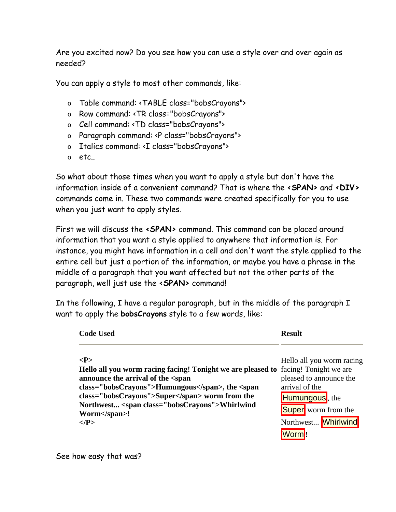Are you excited now? Do you see how you can use a style over and over again as needed?

You can apply a style to most other commands, like:

- o Table command: <TABLE class="bobsCrayons">
- o Row command: <TR class="bobsCrayons">
- o Cell command: <TD class="bobsCrayons">
- o Paragraph command: <P class="bobsCrayons">
- o Italics command: <I class="bobsCrayons">
- o etc..

So what about those times when you want to apply a style but don't have the information inside of a convenient command? That is where the **<SPAN>** and **<DIV>** commands come in. These two commands were created specifically for you to use when you just want to apply styles.

First we will discuss the **<SPAN>** command. This command can be placed around information that you want a style applied to anywhere that information is. For instance, you might have information in a cell and don't want the style applied to the entire cell but just a portion of the information, or maybe you have a phrase in the middle of a paragraph that you want affected but not the other parts of the paragraph, well just use the **<SPAN>** command!

In the following, I have a regular paragraph, but in the middle of the paragraph I want to apply the **bobsCrayons** style to a few words, like:

| <b>Code Used</b>                                                                                                                                                                                                                                                                                                                                | <b>Result</b>                                                                                                                                 |
|-------------------------------------------------------------------------------------------------------------------------------------------------------------------------------------------------------------------------------------------------------------------------------------------------------------------------------------------------|-----------------------------------------------------------------------------------------------------------------------------------------------|
| < P><br>Hello all you worm racing facing! Tonight we are pleased to facing! Tonight we are<br>announce the arrival of the <span<br>class="bobsCrayons"&gt;Humungous, the <span<br>class="bobsCrayons"&gt;Super worm from the<br/>Northwest <span class="bobsCrayons">Whirlwind<br/>Worm</span>!<br/><math>&lt;</math>/P&gt;</span<br></span<br> | Hello all you worm racing<br>pleased to announce the<br>arrival of the<br>Humungous, the<br><b>Super</b> worm from the<br>Northwest Whirlwind |

See how easy that was?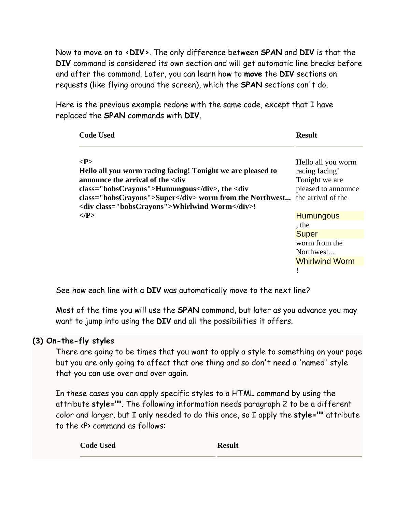Now to move on to **<DIV>**. The only difference between **SPAN** and **DIV** is that the **DIV** command is considered its own section and will get automatic line breaks before and after the command. Later, you can learn how to **move** the **DIV** sections on requests (like flying around the screen), which the **SPAN** sections can't do.

Here is the previous example redone with the same code, except that I have replaced the **SPAN** commands with **DIV**.

| <b>Code Used</b>                                                                                                                                      | <b>Result</b>                         |
|-------------------------------------------------------------------------------------------------------------------------------------------------------|---------------------------------------|
| < P><br>Hello all you worm racing facing! Tonight we are pleased to                                                                                   | Hello all you worm<br>racing facing!  |
| announce the arrival of the <div<br>class="bobsCrayons"&gt;Humungous, the <div< td=""><td>Tonight we are<br/>pleased to announce</td></div<></div<br> | Tonight we are<br>pleased to announce |
| class="bobsCrayons">Super worm from the Northwest the arrival of the<br><div class="bobsCrayons">Whirlwind Worm</div> !                               |                                       |
| $<$ /P>                                                                                                                                               | <b>Humungous</b>                      |
|                                                                                                                                                       | , the                                 |
|                                                                                                                                                       | <b>Super</b>                          |
|                                                                                                                                                       | worm from the<br>Northwest            |
|                                                                                                                                                       | <b>Whirlwind Worm</b>                 |
|                                                                                                                                                       |                                       |

See how each line with a **DIV** was automatically move to the next line?

Most of the time you will use the **SPAN** command, but later as you advance you may want to jump into using the **DIV** and all the possibilities it offers.

## **(3) On-the-fly styles**

There are going to be times that you want to apply a style to something on your page but you are only going to affect that one thing and so don't need a 'named' style that you can use over and over again.

In these cases you can apply specific styles to a HTML command by using the attribute **style=""**. The following information needs paragraph 2 to be a different color and larger, but I only needed to do this once, so I apply the **style=""** attribute to the <P> command as follows:

**Code Used <b>Result**